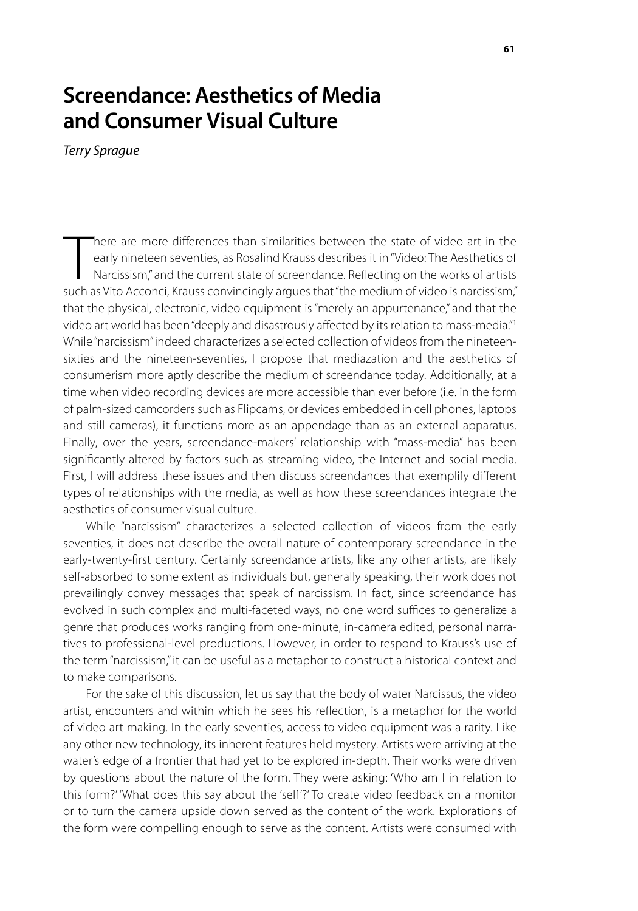## **Screendance: Aesthetics of Media and Consumer Visual Culture**

*Terry Sprague*

There are more differences than similarities between the state of video art in the early nineteen seventies, as Rosalind Krauss describes it in "Video: The Aesthetics of Narcissism," and the current state of screendance. R here are more differences than similarities between the state of video art in the early nineteen seventies, as Rosalind Krauss describes it in "Video: The Aesthetics of Narcissism," and the current state of screendance. Reflecting on the works of artists that the physical, electronic, video equipment is "merely an appurtenance," and that the video art world has been "deeply and disastrously affected by its relation to mass-media."1 While "narcissism" indeed characterizes a selected collection of videos from the nineteensixties and the nineteen-seventies, I propose that mediazation and the aesthetics of consumerism more aptly describe the medium of screendance today. Additionally, at a time when video recording devices are more accessible than ever before (i.e. in the form of palm-sized camcorders such as Flipcams, or devices embedded in cell phones, laptops and still cameras), it functions more as an appendage than as an external apparatus. Finally, over the years, screendance-makers' relationship with "mass-media" has been significantly altered by factors such as streaming video, the Internet and social media. First, I will address these issues and then discuss screendances that exemplify different types of relationships with the media, as well as how these screendances integrate the aesthetics of consumer visual culture.

While "narcissism" characterizes a selected collection of videos from the early seventies, it does not describe the overall nature of contemporary screendance in the early-twenty-first century. Certainly screendance artists, like any other artists, are likely self-absorbed to some extent as individuals but, generally speaking, their work does not prevailingly convey messages that speak of narcissism. In fact, since screendance has evolved in such complex and multi-faceted ways, no one word suffices to generalize a genre that produces works ranging from one-minute, in-camera edited, personal narratives to professional-level productions. However, in order to respond to Krauss's use of the term "narcissism," it can be useful as a metaphor to construct a historical context and to make comparisons.

For the sake of this discussion, let us say that the body of water Narcissus, the video artist, encounters and within which he sees his reflection, is a metaphor for the world of video art making. In the early seventies, access to video equipment was a rarity. Like any other new technology, its inherent features held mystery. Artists were arriving at the water's edge of a frontier that had yet to be explored in-depth. Their works were driven by questions about the nature of the form. They were asking: 'Who am I in relation to this form?' 'What does this say about the 'self'?' To create video feedback on a monitor or to turn the camera upside down served as the content of the work. Explorations of the form were compelling enough to serve as the content. Artists were consumed with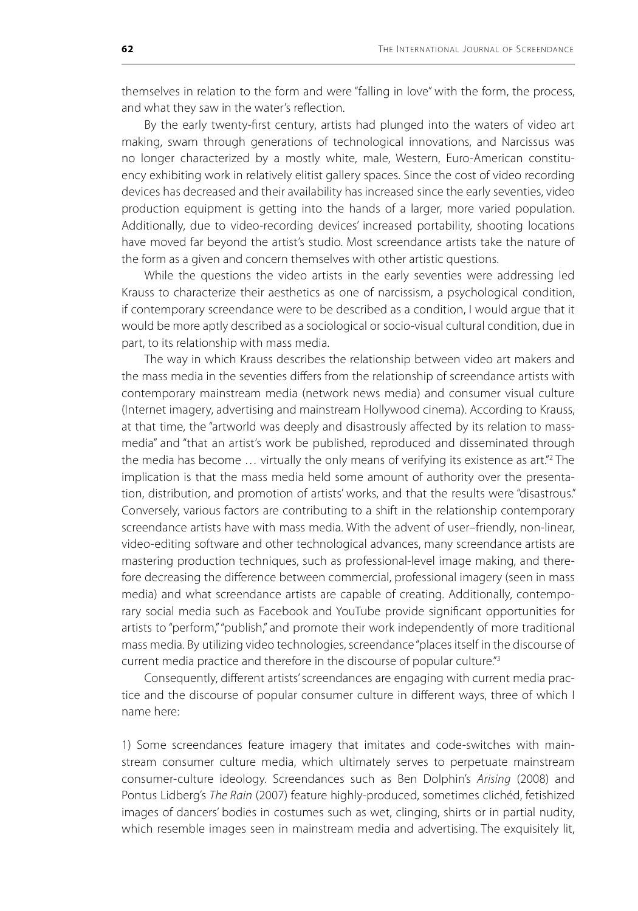themselves in relation to the form and were "falling in love" with the form, the process, and what they saw in the water's reflection.

By the early twenty-first century, artists had plunged into the waters of video art making, swam through generations of technological innovations, and Narcissus was no longer characterized by a mostly white, male, Western, Euro-American constituency exhibiting work in relatively elitist gallery spaces. Since the cost of video recording devices has decreased and their availability has increased since the early seventies, video production equipment is getting into the hands of a larger, more varied population. Additionally, due to video-recording devices' increased portability, shooting locations have moved far beyond the artist's studio. Most screendance artists take the nature of the form as a given and concern themselves with other artistic questions.

While the questions the video artists in the early seventies were addressing led Krauss to characterize their aesthetics as one of narcissism, a psychological condition, if contemporary screendance were to be described as a condition, I would argue that it would be more aptly described as a sociological or socio-visual cultural condition, due in part, to its relationship with mass media.

The way in which Krauss describes the relationship between video art makers and the mass media in the seventies differs from the relationship of screendance artists with contemporary mainstream media (network news media) and consumer visual culture (Internet imagery, advertising and mainstream Hollywood cinema). According to Krauss, at that time, the "artworld was deeply and disastrously affected by its relation to massmedia" and "that an artist's work be published, reproduced and disseminated through the media has become ... virtually the only means of verifying its existence as art."<sup>2</sup> The implication is that the mass media held some amount of authority over the presentation, distribution, and promotion of artists' works, and that the results were "disastrous." Conversely, various factors are contributing to a shift in the relationship contemporary screendance artists have with mass media. With the advent of user–friendly, non-linear, video-editing software and other technological advances, many screendance artists are mastering production techniques, such as professional-level image making, and therefore decreasing the difference between commercial, professional imagery (seen in mass media) and what screendance artists are capable of creating. Additionally, contemporary social media such as Facebook and YouTube provide significant opportunities for artists to "perform," "publish," and promote their work independently of more traditional mass media. By utilizing video technologies, screendance "places itself in the discourse of current media practice and therefore in the discourse of popular culture."<sup>3</sup>

Consequently, different artists' screendances are engaging with current media practice and the discourse of popular consumer culture in different ways, three of which I name here:

1) Some screendances feature imagery that imitates and code-switches with mainstream consumer culture media, which ultimately serves to perpetuate mainstream consumer-culture ideology. Screendances such as Ben Dolphin's *Arising* (2008) and Pontus Lidberg's *The Rain* (2007) feature highly-produced, sometimes clichéd, fetishized images of dancers' bodies in costumes such as wet, clinging, shirts or in partial nudity, which resemble images seen in mainstream media and advertising. The exquisitely lit,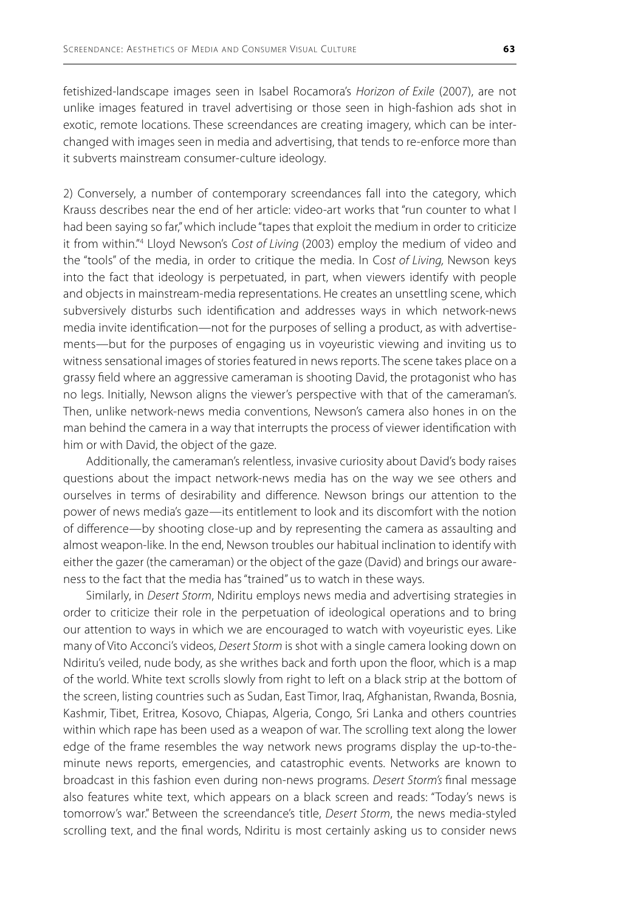fetishized-landscape images seen in Isabel Rocamora's *Horizon of Exile* (2007), are not unlike images featured in travel advertising or those seen in high-fashion ads shot in exotic, remote locations. These screendances are creating imagery, which can be interchanged with images seen in media and advertising, that tends to re-enforce more than it subverts mainstream consumer-culture ideology.

2) Conversely, a number of contemporary screendances fall into the category, which Krauss describes near the end of her article: video-art works that "run counter to what I had been saying so far," which include "tapes that exploit the medium in order to criticize it from within."4 Lloyd Newson's *Cost of Living* (2003) employ the medium of video and the "tools" of the media, in order to critique the media. In Cos*t of Living,* Newson keys into the fact that ideology is perpetuated, in part, when viewers identify with people and objects in mainstream-media representations. He creates an unsettling scene, which subversively disturbs such identification and addresses ways in which network-news media invite identification—not for the purposes of selling a product, as with advertisements—but for the purposes of engaging us in voyeuristic viewing and inviting us to witness sensational images of stories featured in news reports. The scene takes place on a grassy field where an aggressive cameraman is shooting David, the protagonist who has no legs. Initially, Newson aligns the viewer's perspective with that of the cameraman's. Then, unlike network-news media conventions, Newson's camera also hones in on the man behind the camera in a way that interrupts the process of viewer identification with him or with David, the object of the gaze.

Additionally, the cameraman's relentless, invasive curiosity about David's body raises questions about the impact network-news media has on the way we see others and ourselves in terms of desirability and difference. Newson brings our attention to the power of news media's gaze—its entitlement to look and its discomfort with the notion of difference—by shooting close-up and by representing the camera as assaulting and almost weapon-like. In the end, Newson troubles our habitual inclination to identify with either the gazer (the cameraman) or the object of the gaze (David) and brings our awareness to the fact that the media has "trained" us to watch in these ways.

Similarly, in *Desert Storm*, Ndiritu employs news media and advertising strategies in order to criticize their role in the perpetuation of ideological operations and to bring our attention to ways in which we are encouraged to watch with voyeuristic eyes. Like many of Vito Acconci's videos, *Desert Storm* is shot with a single camera looking down on Ndiritu's veiled, nude body, as she writhes back and forth upon the floor, which is a map of the world. White text scrolls slowly from right to left on a black strip at the bottom of the screen, listing countries such as Sudan, East Timor, Iraq, Afghanistan, Rwanda, Bosnia, Kashmir, Tibet, Eritrea, Kosovo, Chiapas, Algeria, Congo, Sri Lanka and others countries within which rape has been used as a weapon of war. The scrolling text along the lower edge of the frame resembles the way network news programs display the up-to-theminute news reports, emergencies, and catastrophic events. Networks are known to broadcast in this fashion even during non-news programs. *Desert Storm's* final message also features white text, which appears on a black screen and reads: "Today's news is tomorrow's war." Between the screendance's title, *Desert Storm*, the news media-styled scrolling text, and the final words, Ndiritu is most certainly asking us to consider news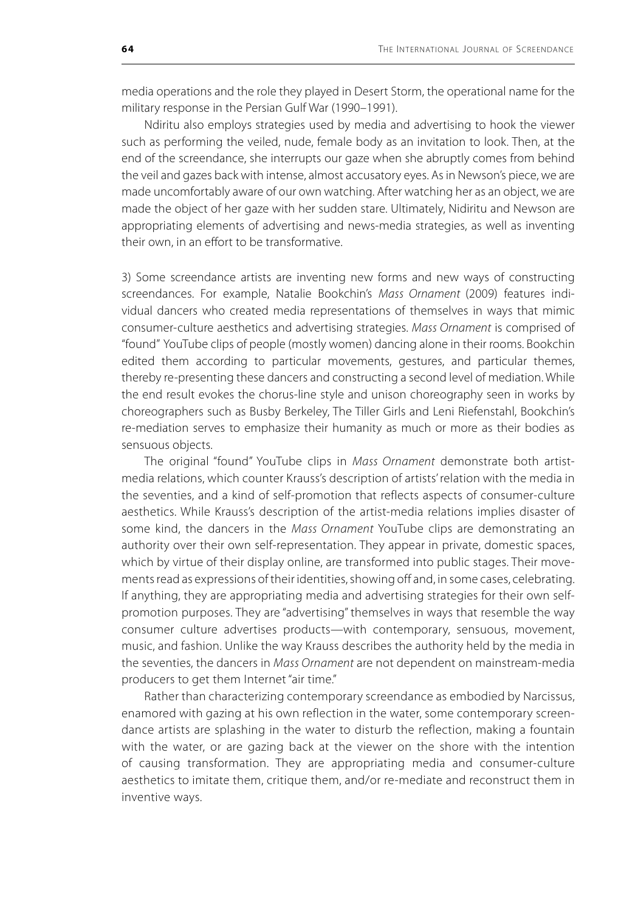media operations and the role they played in Desert Storm, the operational name for the military response in the Persian Gulf War (1990–1991).

Ndiritu also employs strategies used by media and advertising to hook the viewer such as performing the veiled, nude, female body as an invitation to look. Then, at the end of the screendance, she interrupts our gaze when she abruptly comes from behind the veil and gazes back with intense, almost accusatory eyes. As in Newson's piece, we are made uncomfortably aware of our own watching. After watching her as an object, we are made the object of her gaze with her sudden stare. Ultimately, Nidiritu and Newson are appropriating elements of advertising and news-media strategies, as well as inventing their own, in an effort to be transformative.

3) Some screendance artists are inventing new forms and new ways of constructing screendances. For example, Natalie Bookchin's *Mass Ornament* (2009) features individual dancers who created media representations of themselves in ways that mimic consumer-culture aesthetics and advertising strategies. *Mass Ornament* is comprised of "found" YouTube clips of people (mostly women) dancing alone in their rooms. Bookchin edited them according to particular movements, gestures, and particular themes, thereby re-presenting these dancers and constructing a second level of mediation. While the end result evokes the chorus-line style and unison choreography seen in works by choreographers such as Busby Berkeley, The Tiller Girls and Leni Riefenstahl, Bookchin's re-mediation serves to emphasize their humanity as much or more as their bodies as sensuous objects.

The original "found" YouTube clips in *Mass Ornament* demonstrate both artistmedia relations, which counter Krauss's description of artists' relation with the media in the seventies, and a kind of self-promotion that reflects aspects of consumer-culture aesthetics. While Krauss's description of the artist-media relations implies disaster of some kind, the dancers in the *Mass Ornament* YouTube clips are demonstrating an authority over their own self-representation. They appear in private, domestic spaces, which by virtue of their display online, are transformed into public stages. Their movements read as expressions of their identities, showing off and, in some cases, celebrating. If anything, they are appropriating media and advertising strategies for their own selfpromotion purposes. They are "advertising" themselves in ways that resemble the way consumer culture advertises products—with contemporary, sensuous, movement, music, and fashion. Unlike the way Krauss describes the authority held by the media in the seventies, the dancers in *Mass Ornament* are not dependent on mainstream-media producers to get them Internet "air time."

Rather than characterizing contemporary screendance as embodied by Narcissus, enamored with gazing at his own reflection in the water, some contemporary screendance artists are splashing in the water to disturb the reflection, making a fountain with the water, or are gazing back at the viewer on the shore with the intention of causing transformation. They are appropriating media and consumer-culture aesthetics to imitate them, critique them, and/or re-mediate and reconstruct them in inventive ways.